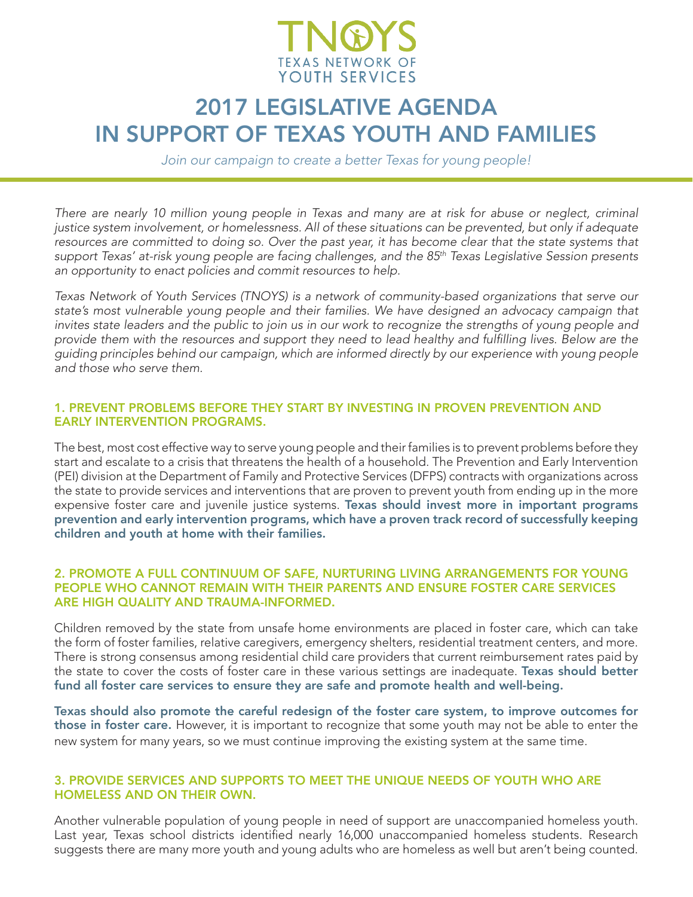

# 2017 LEGISLATIVE AGENDA IN SUPPORT OF TEXAS YOUTH AND FAMILIES

*Join our campaign to create a better Texas for young people!*

*There are nearly 10 million young people in Texas and many are at risk for abuse or neglect, criminal justice system involvement, or homelessness. All of these situations can be prevented, but only if adequate*  resources are committed to doing so. Over the past year, it has become clear that the state systems that *support Texas' at-risk young people are facing challenges, and the 85th Texas Legislative Session presents an opportunity to enact policies and commit resources to help.* 

*Texas Network of Youth Services (TNOYS) is a network of community-based organizations that serve our state's most vulnerable young people and their families. We have designed an advocacy campaign that invites state leaders and the public to join us in our work to recognize the strengths of young people and* provide them with the resources and support they need to lead healthy and fulfilling lives. Below are the *guiding principles behind our campaign, which are informed directly by our experience with young people and those who serve them.* 

# 1. PREVENT PROBLEMS BEFORE THEY START BY INVESTING IN PROVEN PREVENTION AND EARLY INTERVENTION PROGRAMS.

The best, most cost effective way to serve young people and their families is to prevent problems before they start and escalate to a crisis that threatens the health of a household. The Prevention and Early Intervention (PEI) division at the Department of Family and Protective Services (DFPS) contracts with organizations across the state to provide services and interventions that are proven to prevent youth from ending up in the more expensive foster care and juvenile justice systems. Texas should invest more in important programs prevention and early intervention programs, which have a proven track record of successfully keeping children and youth at home with their families.

## 2. PROMOTE A FULL CONTINUUM OF SAFE, NURTURING LIVING ARRANGEMENTS FOR YOUNG PEOPLE WHO CANNOT REMAIN WITH THEIR PARENTS AND ENSURE FOSTER CARE SERVICES ARE HIGH QUALITY AND TRAUMA-INFORMED**.**

Children removed by the state from unsafe home environments are placed in foster care, which can take the form of foster families, relative caregivers, emergency shelters, residential treatment centers, and more. There is strong consensus among residential child care providers that current reimbursement rates paid by the state to cover the costs of foster care in these various settings are inadequate. Texas should better fund all foster care services to ensure they are safe and promote health and well-being.

Texas should also promote the careful redesign of the foster care system, to improve outcomes for those in foster care. However, it is important to recognize that some youth may not be able to enter the new system for many years, so we must continue improving the existing system at the same time.

# 3. PROVIDE SERVICES AND SUPPORTS TO MEET THE UNIQUE NEEDS OF YOUTH WHO ARE HOMELESS AND ON THEIR OWN.

Another vulnerable population of young people in need of support are unaccompanied homeless youth. Last year, Texas school districts identified nearly 16,000 unaccompanied homeless students. Research suggests there are many more youth and young adults who are homeless as well but aren't being counted.